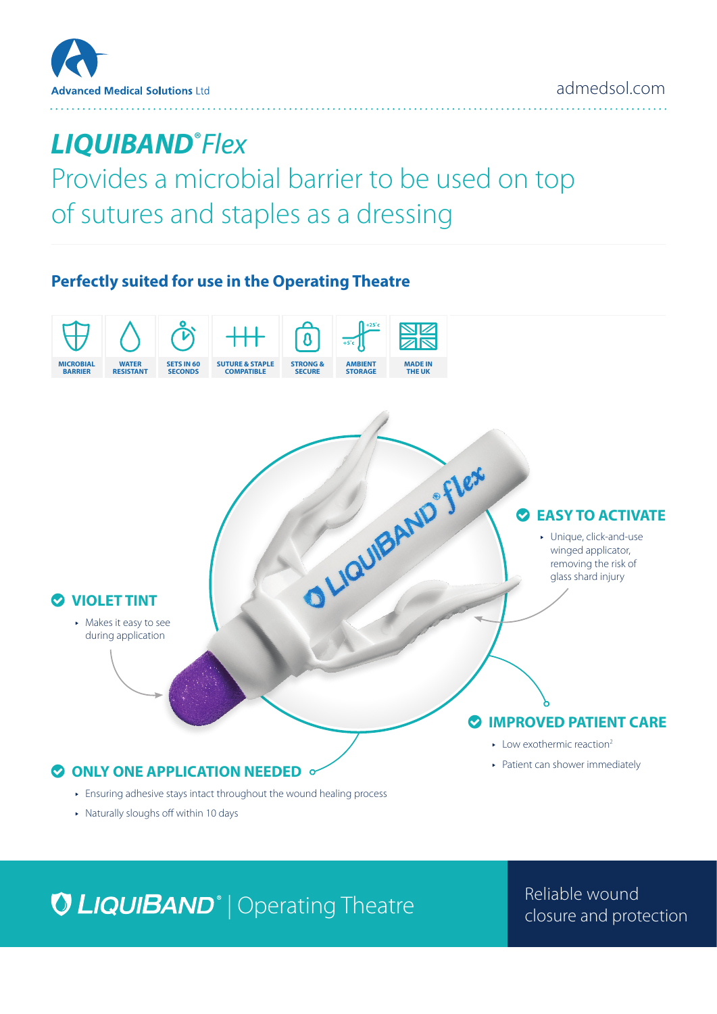

# *LIQUIBAND***®** *Flex*

Provides a microbial barrier to be used on top of sutures and staples as a dressing

### **Perfectly suited for use in the Operating Theatre**



▶ Naturally sloughs off within 10 days

# **O LIQUIBAND**<sup>®</sup> | Operating Theatre **Consumer Manual Protection** closure and protection

Reliable wound